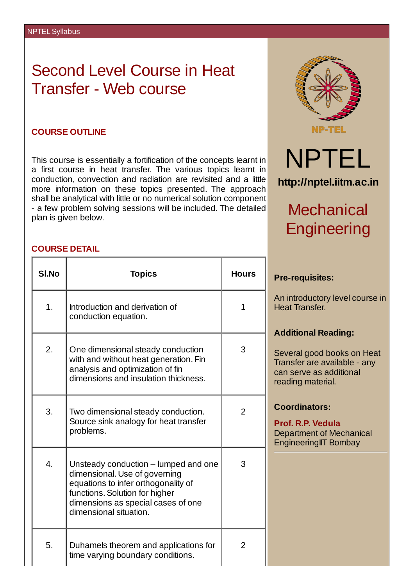# Second Level Course in Heat Transfer - Web course

#### **COURSE OUTLINE**

This course is essentially a fortification of the concepts learnt in a first course in heat transfer. The various topics learnt in conduction, convection and radiation are revisited and a little more information on these topics presented. The approach shall be analytical with little or no numerical solution component - a few problem solving sessions will be included. The detailed plan is given below.



### **COURSE DETAIL**

| SI.No            | <b>Topics</b>                                                                                                                                                                                                  | <b>Hours</b>   |
|------------------|----------------------------------------------------------------------------------------------------------------------------------------------------------------------------------------------------------------|----------------|
| $\overline{1}$ . | Introduction and derivation of<br>conduction equation.                                                                                                                                                         | 1              |
| 2.               | One dimensional steady conduction<br>with and without heat generation. Fin<br>analysis and optimization of fin<br>dimensions and insulation thickness.                                                         | 3              |
| 3.               | Two dimensional steady conduction.<br>Source sink analogy for heat transfer<br>problems.                                                                                                                       | $\overline{2}$ |
| $\overline{4}$ . | Unsteady conduction – lumped and one<br>dimensional. Use of governing<br>equations to infer orthogonality of<br>functions. Solution for higher<br>dimensions as special cases of one<br>dimensional situation. | 3              |
| 5.               | Duhamels theorem and applications for<br>time varying boundary conditions.                                                                                                                                     | 2              |

#### **Pre-requisites:**

An introductory level course in Heat Transfer.

### **Additional Reading:**

Several good books on Heat Transfer are available - any can serve as additional reading material.

## **Coordinators:**

**Prof. R.P. Vedula** Department of Mechanical EngineeringIIT Bombay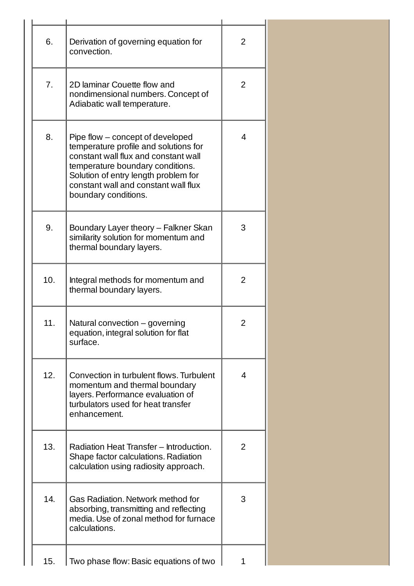| 6.  | Derivation of governing equation for<br>convection.                                                                                                                                                                                                           | 2 |
|-----|---------------------------------------------------------------------------------------------------------------------------------------------------------------------------------------------------------------------------------------------------------------|---|
| 7.  | 2D laminar Couette flow and<br>nondimensional numbers. Concept of<br>Adiabatic wall temperature.                                                                                                                                                              | 2 |
| 8.  | Pipe flow – concept of developed<br>temperature profile and solutions for<br>constant wall flux and constant wall<br>temperature boundary conditions.<br>Solution of entry length problem for<br>constant wall and constant wall flux<br>boundary conditions. | 4 |
| 9.  | Boundary Layer theory - Falkner Skan<br>similarity solution for momentum and<br>thermal boundary layers.                                                                                                                                                      | 3 |
| 10. | Integral methods for momentum and<br>thermal boundary layers.                                                                                                                                                                                                 | 2 |
| 11. | Natural convection - governing<br>equation, integral solution for flat<br>surface.                                                                                                                                                                            | 2 |
| 12. | Convection in turbulent flows. Turbulent<br>momentum and thermal boundary<br>layers. Performance evaluation of<br>turbulators used for heat transfer<br>enhancement.                                                                                          | 4 |
| 13. | Radiation Heat Transfer - Introduction.<br>Shape factor calculations. Radiation<br>calculation using radiosity approach.                                                                                                                                      | 2 |
| 14. | <b>Gas Radiation, Network method for</b><br>absorbing, transmitting and reflecting<br>media. Use of zonal method for furnace<br>calculations.                                                                                                                 | 3 |
| 15. | Two phase flow: Basic equations of two                                                                                                                                                                                                                        | 1 |